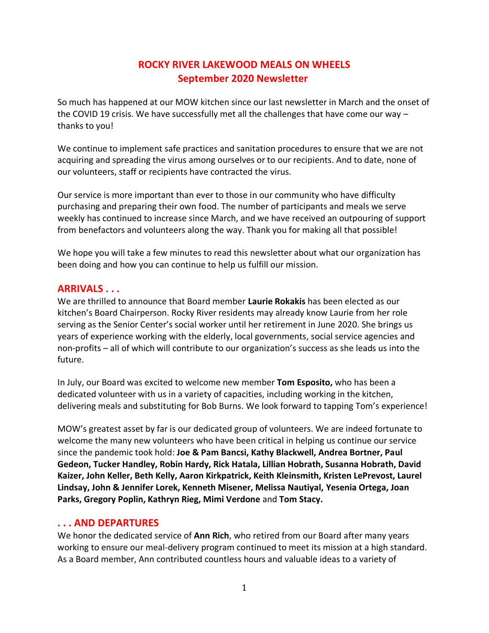# **ROCKY RIVER LAKEWOOD MEALS ON WHEELS September 2020 Newsletter**

So much has happened at our MOW kitchen since our last newsletter in March and the onset of the COVID 19 crisis. We have successfully met all the challenges that have come our way – thanks to you!

We continue to implement safe practices and sanitation procedures to ensure that we are not acquiring and spreading the virus among ourselves or to our recipients. And to date, none of our volunteers, staff or recipients have contracted the virus.

Our service is more important than ever to those in our community who have difficulty purchasing and preparing their own food. The number of participants and meals we serve weekly has continued to increase since March, and we have received an outpouring of support from benefactors and volunteers along the way. Thank you for making all that possible!

We hope you will take a few minutes to read this newsletter about what our organization has been doing and how you can continue to help us fulfill our mission.

# **ARRIVALS . . .**

We are thrilled to announce that Board member **Laurie Rokakis** has been elected as our kitchen's Board Chairperson. Rocky River residents may already know Laurie from her role serving as the Senior Center's social worker until her retirement in June 2020. She brings us years of experience working with the elderly, local governments, social service agencies and non-profits – all of which will contribute to our organization's success as she leads us into the future.

In July, our Board was excited to welcome new member **Tom Esposito,** who has been a dedicated volunteer with us in a variety of capacities, including working in the kitchen, delivering meals and substituting for Bob Burns. We look forward to tapping Tom's experience!

MOW's greatest asset by far is our dedicated group of volunteers. We are indeed fortunate to welcome the many new volunteers who have been critical in helping us continue our service since the pandemic took hold: **Joe & Pam Bancsi, Kathy Blackwell, Andrea Bortner, Paul Gedeon, Tucker Handley, Robin Hardy, Rick Hatala, Lillian Hobrath, Susanna Hobrath, David Kaizer, John Keller, Beth Kelly, Aaron Kirkpatrick, Keith Kleinsmith, Kristen LePrevost, Laurel Lindsay, John & Jennifer Lorek, Kenneth Misener, Melissa Nautiyal, Yesenia Ortega, Joan Parks, Gregory Poplin, Kathryn Rieg, Mimi Verdone** and **Tom Stacy.**

#### **. . . AND DEPARTURES**

We honor the dedicated service of **Ann Rich**, who retired from our Board after many years working to ensure our meal-delivery program continued to meet its mission at a high standard. As a Board member, Ann contributed countless hours and valuable ideas to a variety of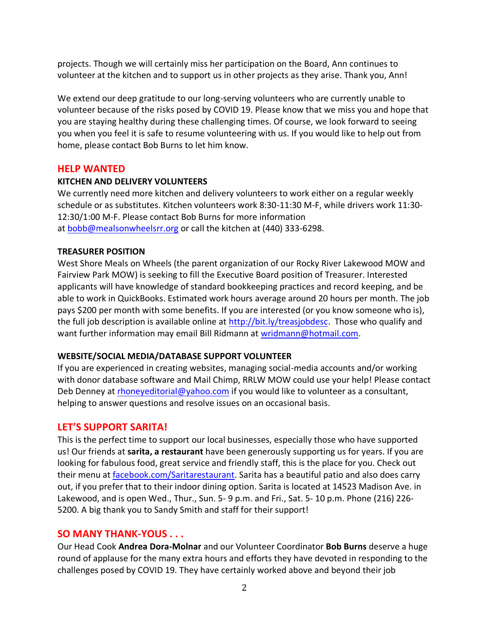projects. Though we will certainly miss her participation on the Board, Ann continues to volunteer at the kitchen and to support us in other projects as they arise. Thank you, Ann!

We extend our deep gratitude to our long-serving volunteers who are currently unable to volunteer because of the risks posed by COVID 19. Please know that we miss you and hope that you are staying healthy during these challenging times. Of course, we look forward to seeing you when you feel it is safe to resume volunteering with us. If you would like to help out from home, please contact Bob Burns to let him know.

## **HELP WANTED**

#### **KITCHEN AND DELIVERY VOLUNTEERS**

We currently need more kitchen and delivery volunteers to work either on a regular weekly schedule or as substitutes. Kitchen volunteers work 8:30-11:30 M-F, while drivers work 11:30- 12:30/1:00 M-F. Please contact Bob Burns for more information at [bobb@mealsonwheelsrr.org](mailto:bobb@mealsonwheelsrr.org) or call the kitchen at (440) 333-6298.

#### **TREASURER POSITION**

West Shore Meals on Wheels (the parent organization of our Rocky River Lakewood MOW and Fairview Park MOW) is seeking to fill the Executive Board position of Treasurer. Interested applicants will have knowledge of standard bookkeeping practices and record keeping, and be able to work in QuickBooks. Estimated work hours average around 20 hours per month. The job pays \$200 per month with some benefits. If you are interested (or you know someone who is), the full job description is available online at [http://bit.ly/treasjobdesc.](http://bit.ly/treasjobdesc) Those who qualify and want further information may email Bill Ridmann at [wridmann@hotmail.com.](mailto:wridmann@hotmail.com)

#### **WEBSITE/SOCIAL MEDIA/DATABASE SUPPORT VOLUNTEER**

If you are experienced in creating websites, managing social-media accounts and/or working with donor database software and Mail Chimp, RRLW MOW could use your help! Please contact Deb Denney at [rhoneyeditorial@yahoo.com](mailto:rhoneyeditorial@yahoo.com) if you would like to volunteer as a consultant, helping to answer questions and resolve issues on an occasional basis.

# **LET'S SUPPORT SARITA!**

This is the perfect time to support our local businesses, especially those who have supported us! Our friends at **sarita, a restaurant** have been generously supporting us for years. If you are looking for fabulous food, great service and friendly staff, this is the place for you. Check out their menu at [facebook.com/Saritarestaurant.](https://www.facebook.com/Saritarestaurant/) Sarita has a beautiful patio and also does carry out, if you prefer that to their indoor dining option. Sarita is located at 14523 Madison Ave. in Lakewood, and is open Wed., Thur., Sun. 5- 9 p.m. and Fri., Sat. 5- 10 p.m. Phone (216) 226- 5200. A big thank you to Sandy Smith and staff for their support!

#### **SO MANY THANK-YOUS . . .**

Our Head Cook **Andrea Dora-Molnar** and our Volunteer Coordinator **Bob Burns** deserve a huge round of applause for the many extra hours and efforts they have devoted in responding to the challenges posed by COVID 19. They have certainly worked above and beyond their job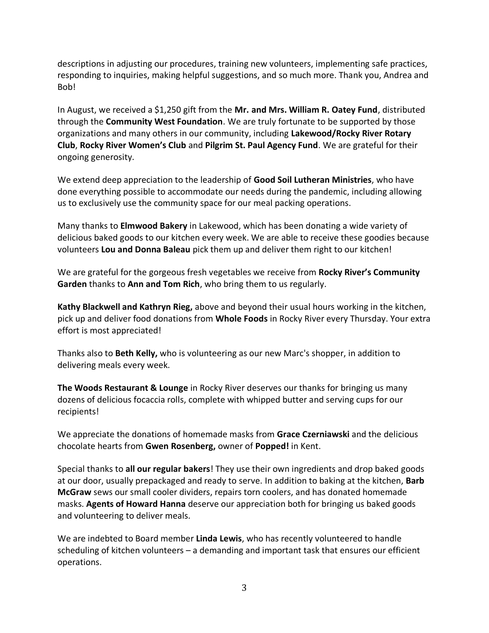descriptions in adjusting our procedures, training new volunteers, implementing safe practices, responding to inquiries, making helpful suggestions, and so much more. Thank you, Andrea and Bob!

In August, we received a \$1,250 gift from the **Mr. and Mrs. William R. Oatey Fund**, distributed through the **Community West Foundation**. We are truly fortunate to be supported by those organizations and many others in our community, including **Lakewood/Rocky River Rotary Club**, **Rocky River Women's Club** and **Pilgrim St. Paul Agency Fund**. We are grateful for their ongoing generosity.

We extend deep appreciation to the leadership of **Good Soil Lutheran Ministries**, who have done everything possible to accommodate our needs during the pandemic, including allowing us to exclusively use the community space for our meal packing operations.

Many thanks to **Elmwood Bakery** in Lakewood, which has been donating a wide variety of delicious baked goods to our kitchen every week. We are able to receive these goodies because volunteers **Lou and Donna Baleau** pick them up and deliver them right to our kitchen!

We are grateful for the gorgeous fresh vegetables we receive from **Rocky River's Community Garden** thanks to **Ann and Tom Rich**, who bring them to us regularly.

**Kathy Blackwell and Kathryn Rieg,** above and beyond their usual hours working in the kitchen, pick up and deliver food donations from **Whole Foods** in Rocky River every Thursday. Your extra effort is most appreciated!

Thanks also to **Beth Kelly,** who is volunteering as our new Marc's shopper, in addition to delivering meals every week.

**The Woods Restaurant & Lounge** in Rocky River deserves our thanks for bringing us many dozens of delicious focaccia rolls, complete with whipped butter and serving cups for our recipients!

We appreciate the donations of homemade masks from **Grace Czerniawski** and the delicious chocolate hearts from **Gwen Rosenberg,** owner of **Popped!** in Kent.

Special thanks to **all our regular bakers**! They use their own ingredients and drop baked goods at our door, usually prepackaged and ready to serve. In addition to baking at the kitchen, **Barb McGraw** sews our small cooler dividers, repairs torn coolers, and has donated homemade masks. **Agents of Howard Hanna** deserve our appreciation both for bringing us baked goods and volunteering to deliver meals.

We are indebted to Board member **Linda Lewis**, who has recently volunteered to handle scheduling of kitchen volunteers – a demanding and important task that ensures our efficient operations.